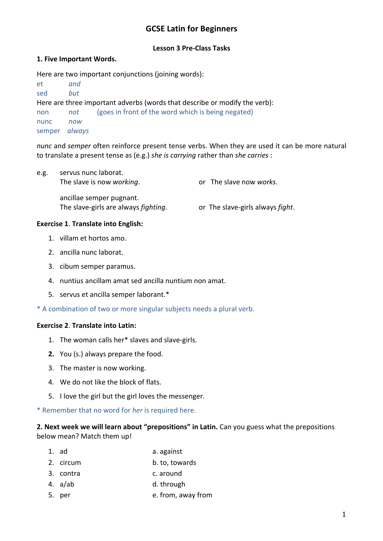# **GCSE Latin for Beginners**

### **Lesson 3 Pre-Class Tasks**

### **1. Five Important Words.**

Here are two important conjunctions (joining words):

| et                                                                         | and |                                                    |  |  |  |  |
|----------------------------------------------------------------------------|-----|----------------------------------------------------|--|--|--|--|
| sed                                                                        | but |                                                    |  |  |  |  |
| Here are three important adverbs (words that describe or modify the verb): |     |                                                    |  |  |  |  |
| non                                                                        | not | (goes in front of the word which is being negated) |  |  |  |  |
| nunc                                                                       | now |                                                    |  |  |  |  |
| semper always                                                              |     |                                                    |  |  |  |  |

*nunc* and *semper* often reinforce present tense verbs. When they are used it can be more natural to translate a present tense as (e.g.) *she is carrying* rather than *she carries* :

| e.g. | servus nunc laborat.<br>The slave is now working.                        | or The slave now works.          |
|------|--------------------------------------------------------------------------|----------------------------------|
|      | ancillae semper pugnant.<br>The slave-girls are always <i>fighting</i> . | or The slave-girls always fight. |

### **Exercise 1**. **Translate into English:**

- 1. villam et hortos amo.
- 2. ancilla nunc laborat.
- 3. cibum semper paramus.
- 4. nuntius ancillam amat sed ancilla nuntium non amat.
- 5. servus et ancilla semper laborant.\*
- \* A combination of two or more singular subjects needs a plural verb.

### **Exercise 2**. **Translate into Latin:**

- 1. The woman calls her\* slaves and slave-girls.
- **2.** You (s.) always prepare the food.
- 3. The master is now working.
- 4. We do not like the block of flats.
- 5. I love the girl but the girl loves the messenger.

\* Remember that no word for *her* is required here.

## **2. Next week we will learn about "prepositions" in Latin.** Can you guess what the prepositions below mean? Match them up!

- 1. ad a. against
- 2. circum b. to, towards
- 3. contra c. around
- 4. a/ab d. through
- 5. per e. from, away from